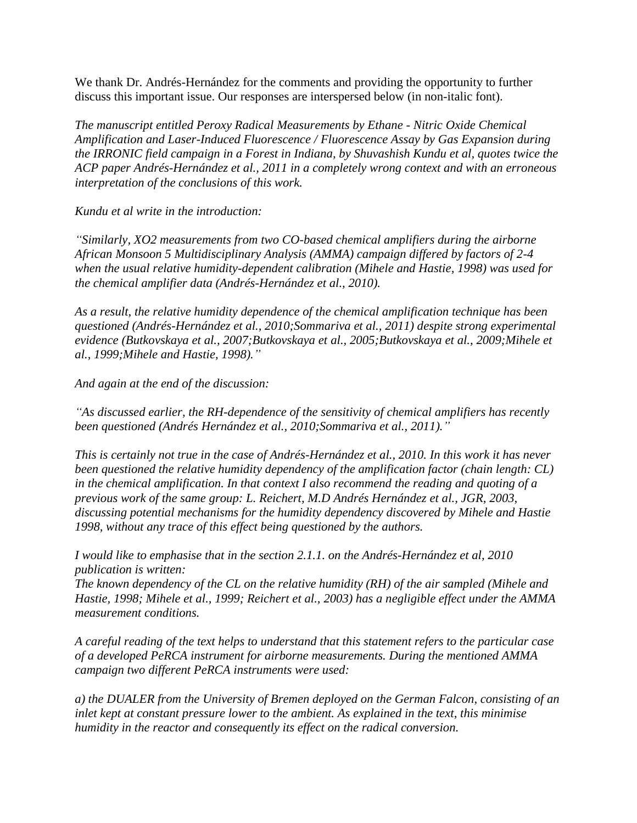We thank Dr. Andrés-Hernández for the comments and providing the opportunity to further discuss this important issue. Our responses are interspersed below (in non-italic font).

*The manuscript entitled Peroxy Radical Measurements by Ethane - Nitric Oxide Chemical Amplification and Laser-Induced Fluorescence / Fluorescence Assay by Gas Expansion during the IRRONIC field campaign in a Forest in Indiana, by Shuvashish Kundu et al, quotes twice the ACP paper Andrés-Hernández et al., 2011 in a completely wrong context and with an erroneous interpretation of the conclusions of this work.* 

*Kundu et al write in the introduction:* 

*"Similarly, XO2 measurements from two CO-based chemical amplifiers during the airborne African Monsoon 5 Multidisciplinary Analysis (AMMA) campaign differed by factors of 2-4 when the usual relative humidity-dependent calibration (Mihele and Hastie, 1998) was used for the chemical amplifier data (Andrés-Hernández et al., 2010).* 

*As a result, the relative humidity dependence of the chemical amplification technique has been questioned (Andrés-Hernández et al., 2010;Sommariva et al., 2011) despite strong experimental evidence (Butkovskaya et al., 2007;Butkovskaya et al., 2005;Butkovskaya et al., 2009;Mihele et al., 1999;Mihele and Hastie, 1998)."*

*And again at the end of the discussion:*

*"As discussed earlier, the RH-dependence of the sensitivity of chemical amplifiers has recently been questioned (Andrés Hernández et al., 2010;Sommariva et al., 2011)."*

*This is certainly not true in the case of Andrés-Hernández et al., 2010. In this work it has never been questioned the relative humidity dependency of the amplification factor (chain length: CL) in the chemical amplification. In that context I also recommend the reading and quoting of a previous work of the same group: L. Reichert, M.D Andrés Hernández et al., JGR, 2003, discussing potential mechanisms for the humidity dependency discovered by Mihele and Hastie 1998, without any trace of this effect being questioned by the authors.* 

*I would like to emphasise that in the section 2.1.1. on the Andrés-Hernández et al, 2010 publication is written:*

*The known dependency of the CL on the relative humidity (RH) of the air sampled (Mihele and Hastie, 1998; Mihele et al., 1999; Reichert et al., 2003) has a negligible effect under the AMMA measurement conditions.*

*A careful reading of the text helps to understand that this statement refers to the particular case of a developed PeRCA instrument for airborne measurements. During the mentioned AMMA campaign two different PeRCA instruments were used:* 

*a) the DUALER from the University of Bremen deployed on the German Falcon, consisting of an inlet kept at constant pressure lower to the ambient. As explained in the text, this minimise humidity in the reactor and consequently its effect on the radical conversion.*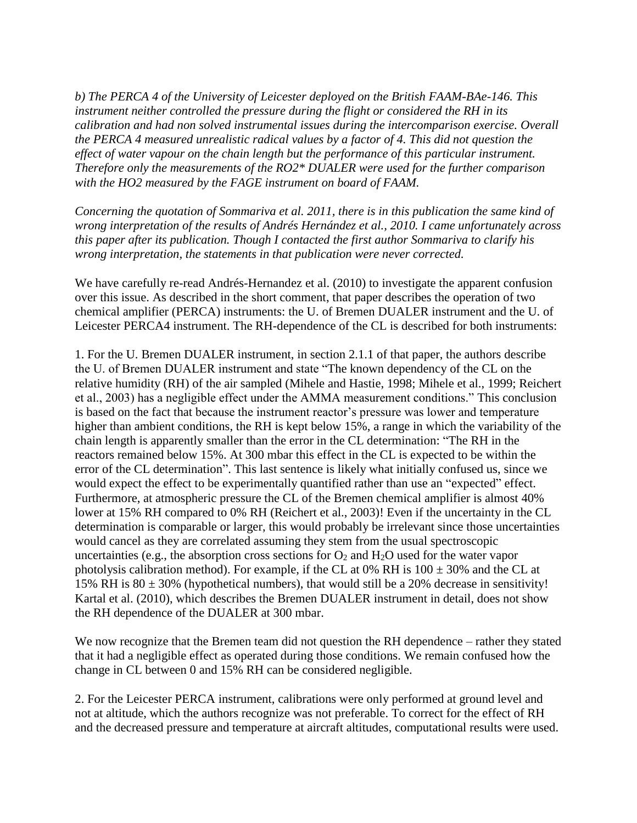*b) The PERCA 4 of the University of Leicester deployed on the British FAAM-BAe-146. This instrument neither controlled the pressure during the flight or considered the RH in its calibration and had non solved instrumental issues during the intercomparison exercise. Overall the PERCA 4 measured unrealistic radical values by a factor of 4. This did not question the effect of water vapour on the chain length but the performance of this particular instrument. Therefore only the measurements of the RO2\* DUALER were used for the further comparison with the HO2 measured by the FAGE instrument on board of FAAM.*

*Concerning the quotation of Sommariva et al. 2011, there is in this publication the same kind of wrong interpretation of the results of Andrés Hernández et al., 2010. I came unfortunately across this paper after its publication. Though I contacted the first author Sommariva to clarify his wrong interpretation, the statements in that publication were never corrected.* 

We have carefully re-read Andrés-Hernandez et al. (2010) to investigate the apparent confusion over this issue. As described in the short comment, that paper describes the operation of two chemical amplifier (PERCA) instruments: the U. of Bremen DUALER instrument and the U. of Leicester PERCA4 instrument. The RH-dependence of the CL is described for both instruments:

1. For the U. Bremen DUALER instrument, in section 2.1.1 of that paper, the authors describe the U. of Bremen DUALER instrument and state "The known dependency of the CL on the relative humidity (RH) of the air sampled (Mihele and Hastie, 1998; Mihele et al., 1999; Reichert et al., 2003) has a negligible effect under the AMMA measurement conditions." This conclusion is based on the fact that because the instrument reactor's pressure was lower and temperature higher than ambient conditions, the RH is kept below 15%, a range in which the variability of the chain length is apparently smaller than the error in the CL determination: "The RH in the reactors remained below 15%. At 300 mbar this effect in the CL is expected to be within the error of the CL determination". This last sentence is likely what initially confused us, since we would expect the effect to be experimentally quantified rather than use an "expected" effect. Furthermore, at atmospheric pressure the CL of the Bremen chemical amplifier is almost 40% lower at 15% RH compared to 0% RH (Reichert et al., 2003)! Even if the uncertainty in the CL determination is comparable or larger, this would probably be irrelevant since those uncertainties would cancel as they are correlated assuming they stem from the usual spectroscopic uncertainties (e.g., the absorption cross sections for  $O_2$  and  $H_2O$  used for the water vapor photolysis calibration method). For example, if the CL at  $0\%$  RH is  $100 \pm 30\%$  and the CL at 15% RH is  $80 \pm 30$ % (hypothetical numbers), that would still be a 20% decrease in sensitivity! Kartal et al. (2010), which describes the Bremen DUALER instrument in detail, does not show the RH dependence of the DUALER at 300 mbar.

We now recognize that the Bremen team did not question the RH dependence – rather they stated that it had a negligible effect as operated during those conditions. We remain confused how the change in CL between 0 and 15% RH can be considered negligible.

2. For the Leicester PERCA instrument, calibrations were only performed at ground level and not at altitude, which the authors recognize was not preferable. To correct for the effect of RH and the decreased pressure and temperature at aircraft altitudes, computational results were used.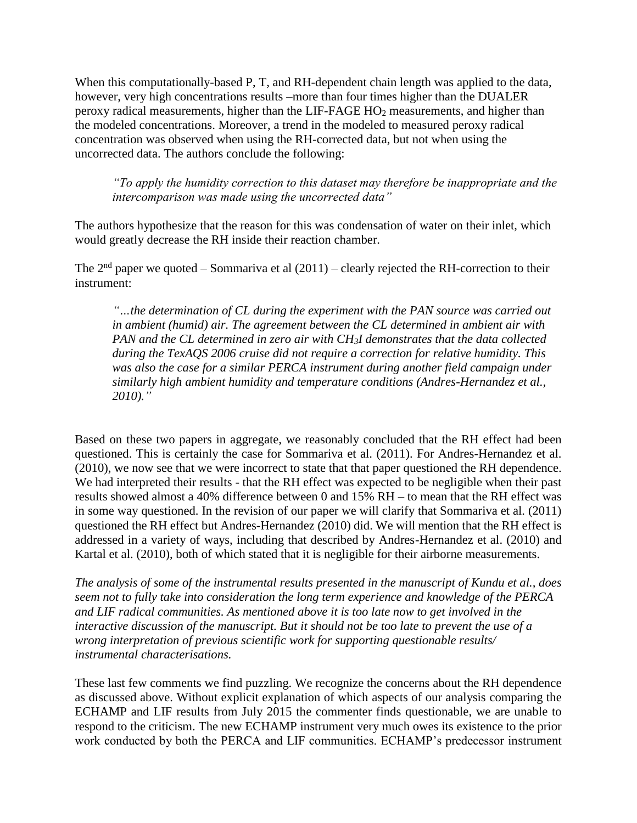When this computationally-based P, T, and RH-dependent chain length was applied to the data, however, very high concentrations results –more than four times higher than the DUALER peroxy radical measurements, higher than the LIF-FAGE HO<sup>2</sup> measurements, and higher than the modeled concentrations. Moreover, a trend in the modeled to measured peroxy radical concentration was observed when using the RH-corrected data, but not when using the uncorrected data. The authors conclude the following:

*"To apply the humidity correction to this dataset may therefore be inappropriate and the intercomparison was made using the uncorrected data"*

The authors hypothesize that the reason for this was condensation of water on their inlet, which would greatly decrease the RH inside their reaction chamber.

The  $2<sup>nd</sup>$  paper we quoted – Sommariva et al (2011) – clearly rejected the RH-correction to their instrument:

*"…the determination of CL during the experiment with the PAN source was carried out in ambient (humid) air. The agreement between the CL determined in ambient air with PAN and the CL determined in zero air with CH3I demonstrates that the data collected during the TexAQS 2006 cruise did not require a correction for relative humidity. This*  was also the case for a similar PERCA instrument during another field campaign under *similarly high ambient humidity and temperature conditions (Andres-Hernandez et al., 2010)."* 

Based on these two papers in aggregate, we reasonably concluded that the RH effect had been questioned. This is certainly the case for Sommariva et al. (2011). For Andres-Hernandez et al. (2010), we now see that we were incorrect to state that that paper questioned the RH dependence. We had interpreted their results - that the RH effect was expected to be negligible when their past results showed almost a 40% difference between 0 and 15% RH – to mean that the RH effect was in some way questioned. In the revision of our paper we will clarify that Sommariva et al. (2011) questioned the RH effect but Andres-Hernandez (2010) did. We will mention that the RH effect is addressed in a variety of ways, including that described by Andres-Hernandez et al. (2010) and Kartal et al. (2010), both of which stated that it is negligible for their airborne measurements.

*The analysis of some of the instrumental results presented in the manuscript of Kundu et al., does seem not to fully take into consideration the long term experience and knowledge of the PERCA and LIF radical communities. As mentioned above it is too late now to get involved in the interactive discussion of the manuscript. But it should not be too late to prevent the use of a wrong interpretation of previous scientific work for supporting questionable results/ instrumental characterisations.* 

These last few comments we find puzzling. We recognize the concerns about the RH dependence as discussed above. Without explicit explanation of which aspects of our analysis comparing the ECHAMP and LIF results from July 2015 the commenter finds questionable, we are unable to respond to the criticism. The new ECHAMP instrument very much owes its existence to the prior work conducted by both the PERCA and LIF communities. ECHAMP's predecessor instrument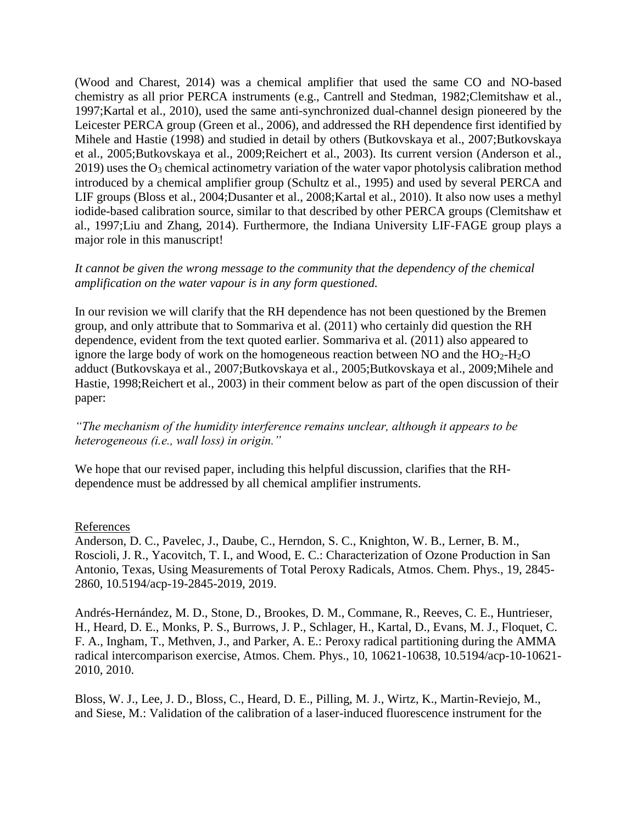(Wood and Charest, 2014) was a chemical amplifier that used the same CO and NO-based chemistry as all prior PERCA instruments (e.g., Cantrell and Stedman, 1982;Clemitshaw et al., 1997;Kartal et al., 2010), used the same anti-synchronized dual-channel design pioneered by the Leicester PERCA group (Green et al., 2006), and addressed the RH dependence first identified by Mihele and Hastie (1998) and studied in detail by others (Butkovskaya et al., 2007;Butkovskaya et al., 2005;Butkovskaya et al., 2009;Reichert et al., 2003). Its current version (Anderson et al.,  $2019$ ) uses the  $O_3$  chemical actinometry variation of the water vapor photolysis calibration method introduced by a chemical amplifier group (Schultz et al., 1995) and used by several PERCA and LIF groups (Bloss et al., 2004;Dusanter et al., 2008;Kartal et al., 2010). It also now uses a methyl iodide-based calibration source, similar to that described by other PERCA groups (Clemitshaw et al., 1997;Liu and Zhang, 2014). Furthermore, the Indiana University LIF-FAGE group plays a major role in this manuscript!

## *It cannot be given the wrong message to the community that the dependency of the chemical amplification on the water vapour is in any form questioned.*

In our revision we will clarify that the RH dependence has not been questioned by the Bremen group, and only attribute that to Sommariva et al. (2011) who certainly did question the RH dependence, evident from the text quoted earlier. Sommariva et al. (2011) also appeared to ignore the large body of work on the homogeneous reaction between NO and the  $HO_2-H_2O$ adduct (Butkovskaya et al., 2007;Butkovskaya et al., 2005;Butkovskaya et al., 2009;Mihele and Hastie, 1998;Reichert et al., 2003) in their comment below as part of the open discussion of their paper:

## *"The mechanism of the humidity interference remains unclear, although it appears to be heterogeneous (i.e., wall loss) in origin."*

We hope that our revised paper, including this helpful discussion, clarifies that the RHdependence must be addressed by all chemical amplifier instruments.

## References

Anderson, D. C., Pavelec, J., Daube, C., Herndon, S. C., Knighton, W. B., Lerner, B. M., Roscioli, J. R., Yacovitch, T. I., and Wood, E. C.: Characterization of Ozone Production in San Antonio, Texas, Using Measurements of Total Peroxy Radicals, Atmos. Chem. Phys., 19, 2845- 2860, 10.5194/acp-19-2845-2019, 2019.

Andrés-Hernández, M. D., Stone, D., Brookes, D. M., Commane, R., Reeves, C. E., Huntrieser, H., Heard, D. E., Monks, P. S., Burrows, J. P., Schlager, H., Kartal, D., Evans, M. J., Floquet, C. F. A., Ingham, T., Methven, J., and Parker, A. E.: Peroxy radical partitioning during the AMMA radical intercomparison exercise, Atmos. Chem. Phys., 10, 10621-10638, 10.5194/acp-10-10621- 2010, 2010.

Bloss, W. J., Lee, J. D., Bloss, C., Heard, D. E., Pilling, M. J., Wirtz, K., Martin-Reviejo, M., and Siese, M.: Validation of the calibration of a laser-induced fluorescence instrument for the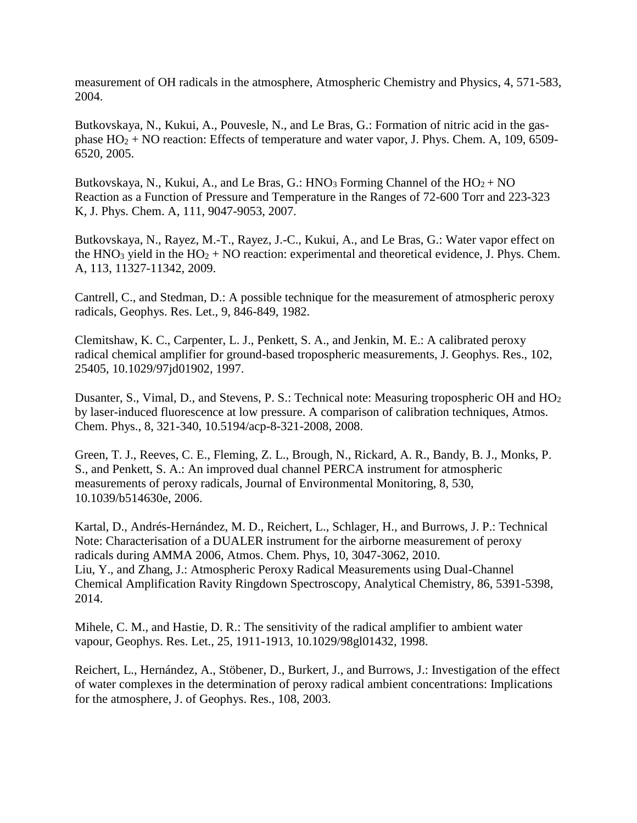measurement of OH radicals in the atmosphere, Atmospheric Chemistry and Physics, 4, 571-583, 2004.

Butkovskaya, N., Kukui, A., Pouvesle, N., and Le Bras, G.: Formation of nitric acid in the gasphase  $HO_2 + NO$  reaction: Effects of temperature and water vapor, J. Phys. Chem. A, 109, 6509-6520, 2005.

Butkovskaya, N., Kukui, A., and Le Bras, G.: HNO<sub>3</sub> Forming Channel of the  $HO_2 + NO$ Reaction as a Function of Pressure and Temperature in the Ranges of 72-600 Torr and 223-323 K, J. Phys. Chem. A, 111, 9047-9053, 2007.

Butkovskaya, N., Rayez, M.-T., Rayez, J.-C., Kukui, A., and Le Bras, G.: Water vapor effect on the HNO<sub>3</sub> yield in the HO<sub>2</sub> + NO reaction: experimental and theoretical evidence, J. Phys. Chem. A, 113, 11327-11342, 2009.

Cantrell, C., and Stedman, D.: A possible technique for the measurement of atmospheric peroxy radicals, Geophys. Res. Let., 9, 846-849, 1982.

Clemitshaw, K. C., Carpenter, L. J., Penkett, S. A., and Jenkin, M. E.: A calibrated peroxy radical chemical amplifier for ground-based tropospheric measurements, J. Geophys. Res., 102, 25405, 10.1029/97jd01902, 1997.

Dusanter, S., Vimal, D., and Stevens, P. S.: Technical note: Measuring tropospheric OH and HO<sup>2</sup> by laser-induced fluorescence at low pressure. A comparison of calibration techniques, Atmos. Chem. Phys., 8, 321-340, 10.5194/acp-8-321-2008, 2008.

Green, T. J., Reeves, C. E., Fleming, Z. L., Brough, N., Rickard, A. R., Bandy, B. J., Monks, P. S., and Penkett, S. A.: An improved dual channel PERCA instrument for atmospheric measurements of peroxy radicals, Journal of Environmental Monitoring, 8, 530, 10.1039/b514630e, 2006.

Kartal, D., Andrés-Hernández, M. D., Reichert, L., Schlager, H., and Burrows, J. P.: Technical Note: Characterisation of a DUALER instrument for the airborne measurement of peroxy radicals during AMMA 2006, Atmos. Chem. Phys, 10, 3047-3062, 2010. Liu, Y., and Zhang, J.: Atmospheric Peroxy Radical Measurements using Dual-Channel Chemical Amplification Ravity Ringdown Spectroscopy, Analytical Chemistry, 86, 5391-5398, 2014.

Mihele, C. M., and Hastie, D. R.: The sensitivity of the radical amplifier to ambient water vapour, Geophys. Res. Let., 25, 1911-1913, 10.1029/98gl01432, 1998.

Reichert, L., Hernández, A., Stöbener, D., Burkert, J., and Burrows, J.: Investigation of the effect of water complexes in the determination of peroxy radical ambient concentrations: Implications for the atmosphere, J. of Geophys. Res., 108, 2003.